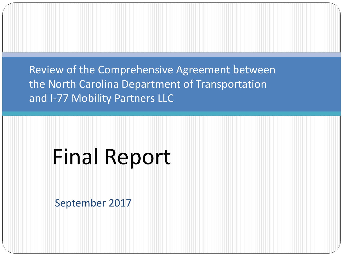Review of the Comprehensive Agreement between the North Carolina Department of Transportation and I-77 Mobility Partners LLC

# Final Report

September 2017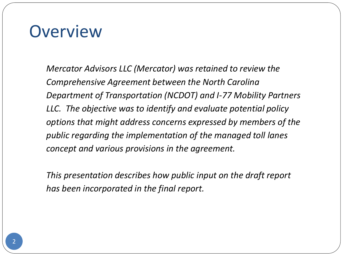# **Overview**

*Mercator Advisors LLC (Mercator) was retained to review the Comprehensive Agreement between the North Carolina Department of Transportation (NCDOT) and I-77 Mobility Partners LLC. The objective was to identify and evaluate potential policy options that might address concerns expressed by members of the public regarding the implementation of the managed toll lanes concept and various provisions in the agreement.* 

*This presentation describes how public input on the draft report has been incorporated in the final report.*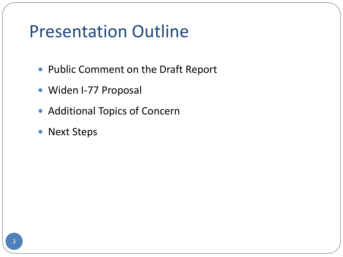# Presentation Outline

- Public Comment on the Draft Report
- Widen I-77 Proposal
- Additional Topics of Concern
- Next Steps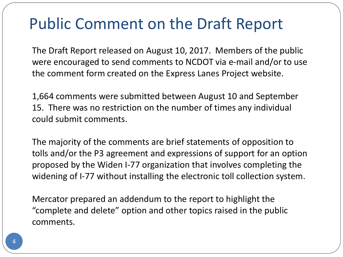# Public Comment on the Draft Report

The Draft Report released on August 10, 2017. Members of the public were encouraged to send comments to NCDOT via e-mail and/or to use the comment form created on the Express Lanes Project website.

1,664 comments were submitted between August 10 and September 15. There was no restriction on the number of times any individual could submit comments.

The majority of the comments are brief statements of opposition to tolls and/or the P3 agreement and expressions of support for an option proposed by the Widen I-77 organization that involves completing the widening of I-77 without installing the electronic toll collection system.

Mercator prepared an addendum to the report to highlight the "complete and delete" option and other topics raised in the public comments.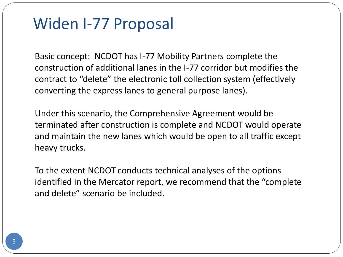### Widen I-77 Proposal

Basic concept: NCDOT has I-77 Mobility Partners complete the construction of additional lanes in the I-77 corridor but modifies the contract to "delete" the electronic toll collection system (effectively converting the express lanes to general purpose lanes).

Under this scenario, the Comprehensive Agreement would be terminated after construction is complete and NCDOT would operate and maintain the new lanes which would be open to all traffic except heavy trucks.

To the extent NCDOT conducts technical analyses of the options identified in the Mercator report, we recommend that the "complete and delete" scenario be included.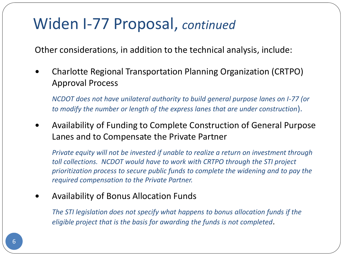# Widen I-77 Proposal, *continued*

Other considerations, in addition to the technical analysis, include:

 Charlotte Regional Transportation Planning Organization (CRTPO) Approval Process

*NCDOT does not have unilateral authority to build general purpose lanes on I-77 (or to modify the number or length of the express lanes that are under construction*).

 Availability of Funding to Complete Construction of General Purpose Lanes and to Compensate the Private Partner

*Private equity will not be invested if unable to realize a return on investment through toll collections. NCDOT would have to work with CRTPO through the STI project prioritization process to secure public funds to complete the widening and to pay the required compensation to the Private Partner.* 

Availability of Bonus Allocation Funds

*The STI legislation does not specify what happens to bonus allocation funds if the eligible project that is the basis for awarding the funds is not completed*.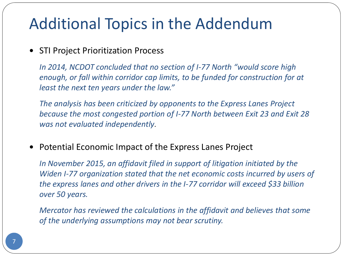# Additional Topics in the Addendum

#### • STI Project Prioritization Process

*In 2014, NCDOT concluded that no section of I-77 North "would score high enough, or fall within corridor cap limits, to be funded for construction for at least the next ten years under the law."*

*The analysis has been criticized by opponents to the Express Lanes Project because the most congested portion of I-77 North between Exit 23 and Exit 28 was not evaluated independently.*

• Potential Economic Impact of the Express Lanes Project

*In November 2015, an affidavit filed in support of litigation initiated by the Widen I-77 organization stated that the net economic costs incurred by users of the express lanes and other drivers in the I-77 corridor will exceed \$33 billion over 50 years.* 

*Mercator has reviewed the calculations in the affidavit and believes that some of the underlying assumptions may not bear scrutiny.*